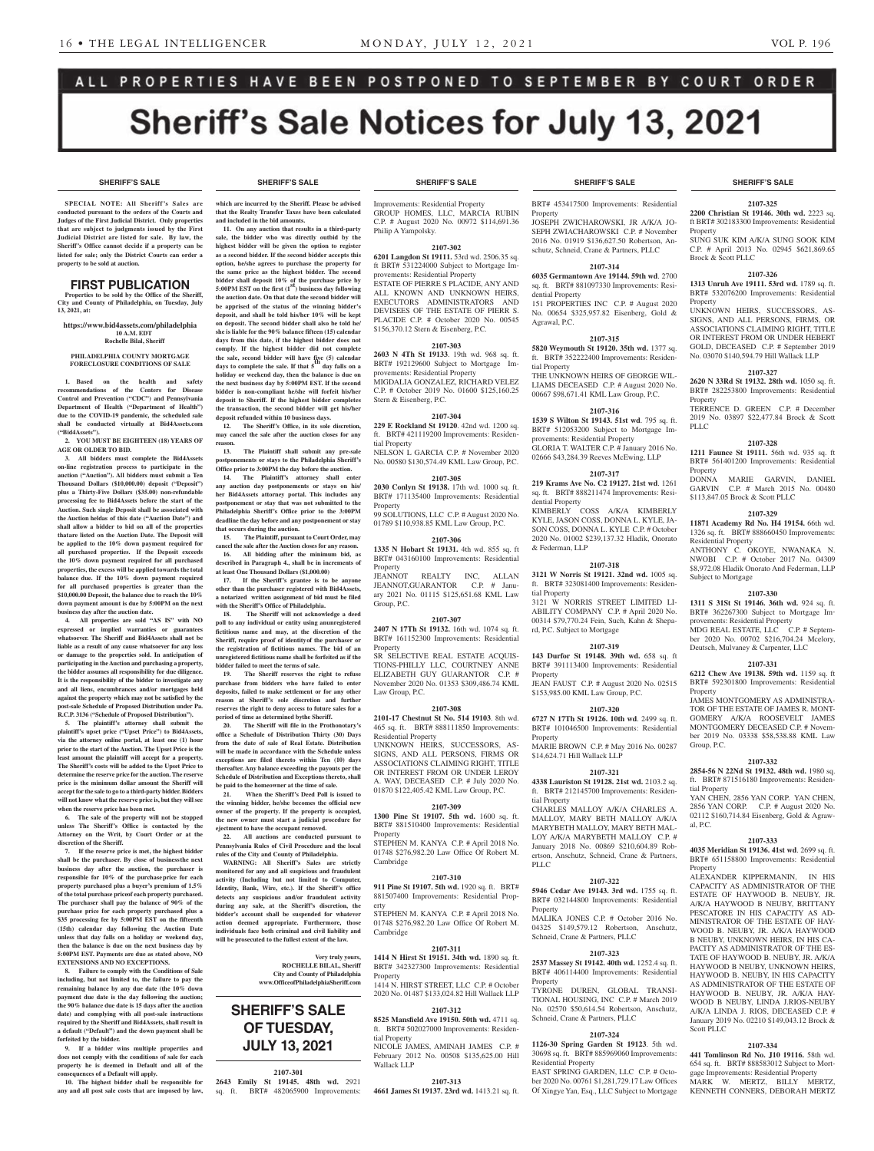**SHERIFF'S SALE SHERIFF'S SALE SHERIFF'S SALE SHERIFF'S SALE SHERIFF'S SALE**

**2107-325 2200 Christian St 19146. 30th wd.** 2223 sq. ft BRT# 302183300 Improvements: Residential

SUNG SUK KIM A/K/A SUNG SOOK KIM C.P. # April 2013 No. 02945 \$621,869.65

**2107-326 1313 Unruh Ave 19111. 53rd wd.** 1789 sq. ft. BRT# 532076200 Improvements: Residential

UNKNOWN HEIRS, SUCCESSORS, AS-SIGNS, AND ALL PERSONS, FIRMS, OR ASSOCIATIONS CLAIMING RIGHT, TITLE OR INTEREST FROM OR UNDER HEBERT GOLD, DECEASED C.P. # September 2019 No. 03070 \$140,594.79 Hill Wallack LLP **2107-327 2620 N 33Rd St 19132. 28th wd.** 1050 sq. ft. BRT# 282253800 Improvements: Residential

TERRENCE D. GREEN C.P. # December 2019 No. 03897 \$22,477.84 Brock & Scott

**2107-328 1211 Faunce St 19111.** 56th wd. 935 sq. ft BRT# 561401200 Improvements: Residential

DONNA MARIE GARVIN, DANIEL GARVIN C.P. # March 2015 No. 00480

**2107-329 11871 Academy Rd No. H4 19154.** 66th wd. 1326 sq. ft. BRT# 888660450 Improvements:

ANTHONY C. OKOYE, NWANAKA N. NWOBI C.P. # October 2017 No. 04309 \$8,972.08 Hladik Onorato And Federman, LLP

**2107-330 1311 S 31St St 19146. 36th wd.** 924 sq. ft. BRT# 362267300 Subject to Mortgage Im-

MDG REAL ESTATE, LLC  $\overrightarrow{C.P.}$  # September 2020 No. 00702 \$216,704.24 Mcelory, Deutsch, Mulvaney & Carpenter, LLC **2107-331 6212 Chew Ave 19138. 59th wd.** 1159 sq. ft BRT# 592301800 Improvements: Residential

JAMES MONTGOMERY AS ADMINISTRA-TOR OF THE ESTATE OF JAMES R. MONT-GOMERY A/K/A ROOSEVELT JAMES MONTGOMERY DECEASED C.P. # November 2019 No. 03338 \$58,538.88 KML Law

**2107-332 2854-56 N 22Nd St 19132. 48th wd.** 1980 sq. ft. BRT# 871516180 Improvements: Residen-

YAN CHEN, 2856 YAN CORP. YAN CHEN, 2856 YAN CORP. C.P. # August 2020 No. 02112 \$160,714.84 Eisenberg, Gold & Agraw-

**2107-333 4035 Meridian St 19136. 41st wd**. 2699 sq. ft. BRT# 651158800 Improvements: Residential

ALEXANDER KIPPERMANIN, IN HIS CAPACITY AS ADMINISTRATOR OF THE ESTATE OF HAYWOOD B. NEUBY, JR. A/K/A HAYWOOD B NEUBY, BRITTANY PESCATORE IN HIS CAPACITY AS AD-MINISTRATOR OF THE ESTATE OF HAY-WOOD B. NEUBY, JR. A/K/A HAYWOOD B NEUBY, UNKNOWN HEIRS, IN HIS CA-PACITY AS ADMINISTRATOR OF THE ES-TATE OF HAYWOOD B. NEUBY, IR. A/K/A HAYWOOD B NEUBY, UNKNOWN HEIRS, HAYWOOD B. NEUBY, IN HIS CAPACITY AS ADMINISTRATOR OF THE ESTATE OF HAYWOOD B. NEUBY, JR. A/K/A HAY-WOOD B NEUBY, LINDA J.RIOS-NEUBY A/K/A LINDA J. RIOS, DECEASED C.P. # January 2019 No. 02210 \$149,043.12 Brock &

**2107-334 441 Tomlinson Rd No. J10 19116.** 58th wd. 654 sq. ft. BRT# 888583012 Subject to Mortgage Improvements: Residential Property MARK W. MERTZ, BILLY MERTZ, KENNETH CONNERS, DEBORAH MERTZ

provements: Residential Property

\$113,847.05 Brock & Scott PLLC

Residential Property

Subject to Mortgage

Property

Group, P.C.

tial Property

al, P.C.

**Property** 

Scott PLLC

Property

Property

Property

PLLC

Property

Brock & Scott PLLC

# ALL PROPERTIES HAVE BEEN POSTPONED TO SEPTEMBER BY COURT ORDER **Sheriff's Sale Notices for July 13, 2021**

**SPECIAL NOTE: All Sheriff 's Sales are conducted pursuant to the orders of the Courts and Judges of the First Judicial District. Only properties that are subject to judgments issued by the First Judicial District are listed for sale. By law, the Sheriff's Office cannot decide if a property can be listed for sale; only the District Courts can order a property to be sold at auction.** 

#### FIRST PUBLICATION

**Properties to be sold by the Office of the Sheriff, City and County of Philadelphia, on Tuesday, July 13, 2021, at:**

**https://www.bid4assets.com/philadelphia 10 A.M. EDT**

 **Rochelle Bilal, Sheriff**

#### **PHILADELPHIA COUNTY MORTGAGE FORECLOSURE CONDITIONS OF SALE**

**1. Based on the health and safety recommendations of the Centers for Disease Control and Prevention ("CDC") and Pennsylvania Department of Health ("Department of Health") due to the COVID-19 pandemic, the scheduled sale shall be conducted virtually at Bid4Assets.com ("Bid4Assets").**

**2. YOU MUST BE EIGHTEEN (18) YEARS OF AGE OR OLDER TO BID.**

**3. All bidders must complete the Bid4Assets on-line registration process to participate in the auction ("Auction"). All bidders must submit a Ten Thousand Dollars (\$10,000.00) deposit ("Deposit") plus a Thirty-Five Dollars (\$35.00) non-refundable processing fee to Bid4Assets before the start of the Auction. Such single Deposit shall be associated with**  the Auction heldas of this date ("Auction Date") and **shall allow a bidder to bid on all of the properties that are listed on the Auction Date. The Deposit will be applied to the 10% down payment required for all purchased properties. If the Deposit exceeds the 10% down payment required for all purchased properties, the excess will be applied towards the total balance due. If the 10% down payment required for all purchased properties is greater than the \$10,000.00 Deposit, the balance due to reach the 10% down payment amount is due by 5:00PM on the next business day after the auction date.**

**4. All properties are sold "AS IS" with NO expressed or implied warranties or guarantees whatsoever. The Sheriff and Bid4Assets shall not be liable as a result of any cause whatsoever for any loss or damage to the properties sold. In anticipation of participating in the Auction and purchasing a property, the bidder assumes all responsibility for due diligence. It is the responsibility of the bidder to investigate any and all liens, encumbrances and/or mortgages held against the property which may not be satisfied by the post-sale Schedule of Proposed Distribution under Pa. R.C.P. 3136 ("Schedule of Proposed Distribution").**

**5. The plaintiff's attorney shall submit the plaintiff's upset price ("Upset Price") to Bid4Assets, via the attorney online portal, at least one (1) hour prior to the start of the Auction. The Upset Price is the least amount the plaintiff will accept for a property. The Sheriff's costs will be added to the Upset Price to determine the reserve price for the auction. The reserve price is the minimum dollar amount the Sheriff will accept for the sale to go to a third-party bidder. Bidders will not know what the reserve price is, but they will see when the reserve price has been met.**

**6. The sale of the property will not be stopped unless The Sheriff's Office is contacted by the Attorney on the Writ, by Court Order or at the discretion of the Sheriff.**

**7. If the reserve price is met, the highest bidder shall be the purchaser. By close of businessthe next business day after the auction, the purchaser is responsible for 10% of the purchase price for each property purchased plus a buyer's premium of 1.5% of the total purchase priceof each property purchased. The purchaser shall pay the balance of 90% of the purchase price for each property purchased plus a \$35 processing fee by 5:00PM EST on the fifteenth (15th) calendar day following the Auction Date unless that day falls on a holiday or weekend day, then the balance is due on the next business day by 5:00PM EST. Payments are due as stated above, NO EXTENSIONS AND NO EXCEPTIONS.**

**8. Failure to comply with the Conditions of Sale including, but not limited to, the failure to pay the remaining balance by any due date (the 10% down payment due date is the day following the auction; the 90% balance due date is 15 days after the auction date) and complying with all post-sale instructions required by the Sheriff and Bid4Assets, shall result in a default ("Default") and the down payment shall be forfeited by the bidder.**

**9. If a bidder wins multiple properties and does not comply with the conditions of sale for each property he is deemed in Default and all of the consequences of a Default will apply.**

**10. The highest bidder shall be responsible for any and all post sale costs that are imposed by law,** 

**which are incurred by the Sheriff. Please be advised that the Realty Transfer Taxes have been calculated and included in the bid amounts.**

**11. On any auction that results in a third-party sale, the bidder who was directly outbid by the highest bidder will be given the option to register as a second bidder. If the second bidder accepts this option, he/she agrees to purchase the property for the same price as the highest bidder. The second bidder shall deposit 10% of the purchase price by 5:00PM EST on the first (1st) business day following the auction date. On that date the second bidder will be apprised of the status of the winning bidder's deposit, and shall be told his/her 10% will be kept on deposit. The second bidder shall also be told he/ she is liable for the 90% balance fifteen (15) calendar days from this date, if the highest bidder does not comply. If the highest bidder did not complete the sale, second bidder will have five (5) calendar days to complete the sale. If that 5th day falls on a holiday or weekend day, then the balance is due on the next business day by 5:00PM EST. If the second bidder is non-compliant he/she will forfeit his/her deposit to Sheriff. If the highest bidder completes the transaction, the second bidder will get his/her deposit refunded within 10 business days.**

**12. The Sheriff's Office, in its sole discretion, may cancel the sale after the auction closes for any reason. 13. The Plaintiff shall submit any pre-sale** 

**postponements or stays to the Philadelphia Sheriff's Office prior to 3:00PM the day before the auction.**

**14. The Plaintiff's attorney shall enter any auction day postponements or stays on his/ her Bid4Assets attorney portal. This includes any postponement or stay that was not submitted to the Philadelphia Sheriff's Office prior to the 3:00PM deadline the day before and any postponement or stay that occurs during the auction.**

**15. The Plaintiff, pursuant to Court Order, may cancel the sale after the Auction closes for any reason. 16. All bidding after the minimum bid, as described in Paragraph 4., shall be in increments of at least One Thousand Dollars (\$1,000.00)**

**17. If the Sheriff's grantee is to be anyone other than the purchaser registered with Bid4Assets, a notarized written assignment of bid must be filed with the Sheriff's Office of Philadelphia.**

**18. The Sheriff will not acknowledge a deed**  poll to any individual or entity using an unregistered **fictitious name and may, at the discretion of the Sheriff, require proof of identityof the purchaser or the registration of fictitious names. The bid of an unregistered fictitious name shall be forfeited as if the bidder failed to meet the terms of sale.**

**19. The Sheriff reserves the right to refuse purchase from bidders who have failed to enter deposits, failed to make settlement or for any other reason at Sheriff's sole discretion and further reserves the right to deny access to future sales for a period of time as determined by the Sheriff.**

20. The Sheriff will file in the Proth **office a Schedule of Distribution Thirty (30) Days from the date of sale of Real Estate. Distribution will be made in accordance with the Schedule unless exceptions are filed thereto within Ten (10) days thereafter. Any balance exceeding the payouts per the Schedule of Distribution and Exceptions thereto, shall be paid to the homeowner at the time of sale.**

**21. When the Sheriff's Deed Poll is issued to the winning bidder, he/she becomes the official new owner of the property. If the property is occupied, the new owner must start a judicial procedure for ejectment to have the occupant removed.**

**22. All auctions are conducted pursuant to Pennsylvania Rules of Civil Procedure and the local rules of the City and County of Philadelphia.**

**WARNING: All Sheriff's Sales are strictly monitored for any and all suspicious and fraudulent activity (Including but not limited to Computer, Identity, Bank, Wire, etc.). If the Sheriff's office detects any suspicious and/or fraudulent activity during any sale, at the Sheriff's discretion, the bidder's account shall be suspended for whatever action deemed appropriate. Furthermore, those individuals face both criminal and civil liability and will be prosecuted to the fullest extent of the law.**

> **Very truly yours, ROCHELLE BILAL, Sheriff City and County of Philadelphia www.OfficeofPhiladelphiaSheriff.com**

## **SHERIFF'S SALE OF TUESDAY, JULY 13, 2021**

#### **2107-301**

**2643 Emily St 19145. 48th wd.** 2921 sq. ft. BRT# 482065900 Improvements:

Improvements: Residential Property GROUP HOMES, LLC, MARCIA RUBIN C.P. # August 2020 No. 00972 \$114,691.36 Philip A Yampolsky.

#### **2107-302**

**6201 Langdon St 19111.** 53rd wd. 2506.35 sq. ft BRT# 531224000 Subject to Mortgage Improvements: Residential Property

ESTATE OF PIERRE S PLACIDE, ANY AND ALL KNOWN AND UNKNOWN HEIRS, EXECUTORS ADMINISTRATORS AND DEVISEES OF THE ESTATE OF PIERR S. PLACIDE C.P. # October 2020 No. 00545 \$156,370.12 Stern & Eisenberg, P.C.

#### **2107-303**

**2603 N 4Th St 19133**. 19th wd. 968 sq. ft. BRT# 192129600 Subject to Mortgage Improvements: Residential Property MIGDALIA GONZALEZ, RICHARD VELEZ C.P. # October 2019 No. 01600 \$125,160.25 Stern & Eisenberg, P.C.

#### **2107-304**

**229 E Rockland St 19120**. 42nd wd. 1200 sq. ft. BRT# 421119200 Improvements: Residential Property

NELSON L GARCIA C.P. # November 2020 No. 00580 \$130,574.49 KML Law Group, P.C.

**2107-305 2030 Conlyn St 19138.** 17th wd. 1000 sq. ft.

BRT# 171135400 Improvements: Residential Property 99 SOLUTIONS, LLC C.P. # August 2020 No.

01789 \$110,938.85 KML Law Group, P.C.

## **2107-306**

**1335 N Hobart St 19131.** 4th wd. 855 sq. ft BRT# 043160100 Improvements: Residential Property JEANNOT REALTY INC, ALLAN

JEANNOT,GUARANTOR C.P. # January 2021 No. 01115 \$125,651.68 KML Law Group, P.C.

#### **2107-307**

**2407 N 17Th St 19132.** 16th wd. 1074 sq. ft. BRT# 161152300 Improvements: Residential Property

SR SELECTIVE REAL ESTATE ACQUIS-TIONS-PHILLY LLC, COURTNEY ANNE ELIZABETH GUY GUARANTOR C.P. # November 2020 No. 01353 \$309,486.74 KML Law Group, P.C.

#### **2107-308**

**2101-17 Chestnut St No. 514 19103**. 8th wd. 465 sq. ft. BRT# 888111850 Improvements: Residential Property UNKNOWN HEIRS, SUCCESSORS, AS-

SIGNS, AND ALL PERSONS, FIRMS OR ASSOCIATIONS CLAIMING RIGHT, TITLE OR INTEREST FROM OR UNDER LEROY A. WAY, DECEASED C.P. # July 2020 No. 01870 \$122,405.42 KML Law Group, P.C.

#### **2107-309**

**1300 Pine St 19107. 5th wd.** 1600 sq. ft. BRT# 881510400 Improvements: Residential Property

STEPHEN M. KANYA C.P. # April 2018 No. 01748 \$276,982.20 Law Office Of Robert M. Cambridge

#### 2**107-310**

**911 Pine St 19107. 5th wd.** 1920 sq. ft. BRT# 881507400 Improvements: Residential Property

STEPHEN M. KANYA C.P. # April 2018 No. 01748 \$276,982.20 Law Office Of Robert M. Cambridge

#### **2107-311**

**1414 N Hirst St 19151. 34th wd.** 1890 sq. ft. BRT# 342327300 Improvements: Residential Property

1414 N. HIRST STREET, LLC C.P. # October 2020 No. 01487 \$133,024.82 Hill Wallack LLP

## **2107-312**

**8525 Mansfield Ave 19150. 50th wd.** 4711 sq. ft. BRT# 502027000 Improvements: Residential Property NICOLE JAMES, AMINAH JAMES C.P. # February 2012 No. 00508 \$135,625.00 Hill Wallack LLP

**2107-313 4661 James St 19137. 23rd wd.** 1413.21 sq. ft.

#### **SHERIFF'S SALE SHERIFF'S SALE SHERIFF'S SALE SHERIFF'S SALE SHERIFF'S SALE**

BRT# 453417500 Improvements: Residential Property JOSEPH ZWICHAROWSKI, JR A/K/A JO-SEPH ZWIACHAROWSKI C.P. # November

2016 No. 01919 \$136,627.50 Robertson, Anschutz, Schneid, Crane & Partners, PLLC **2107-314**

**6035 Germantown Ave 19144. 59th wd**. 2700 sq. ft. BRT# 881097330 Improvements: Residential Property 151 PROPERTIES INC C.P. # August 2020

No. 00654 \$325,957.82 Eisenberg, Gold & Agrawal, P.C.

## **2107-315**

**5820 Weymouth St 19120. 35th wd.** 1377 sq. ft. BRT# 352222400 Improvements: Residential Property THE UNKNOWN HEIRS OF GEORGE WIL-

LIAMS DECEASED C.P. # August 2020 No. 00667 \$98,671.41 KML Law Group, P.C.

#### **2107-316**

**1539 S Wilton St 19143. 51st wd**. 795 sq. ft. BRT# 512053200 Subject to Mortgage Improvements: Residential Property GLORIA T. WALTER C.P. # January 2016 No. 02666 \$43,284.39 Reeves McEwing, LLP

#### **2107-317**

**219 Krams Ave No. C2 19127. 21st wd**. 1261 sq. ft. BRT# 888211474 Improvements: Residential Property

KIMBERLY COSS A/K/A KIMBERLY KYLE, JASON COSS, DONNA L. KYLE, JA-SON COSS, DONNA L. KYLE C.P. # October 2020 No. 01002 \$239,137.32 Hladik, Onorato & Federman, LLP

#### **2107-318**

**3121 W Norris St 19121. 32nd wd.** 1005 sq. ft. BRT# 323081400 Improvements: Residential Property

3121 W NORRIS STREET LIMITED LI-ABILITY COMPANY C.P. # April 2020 No. 00314 \$79,770.24 Fein, Such, Kahn & Shepard, P.C. Subject to Mortgage

#### **2107-319**

**143 Durfor St 19148. 39th wd.** 658 sq. ft BRT# 391113400 Improvements: Residential Property

JEAN FAUST C.P. # August 2020 No. 02515 \$153,985.00 KML Law Group, P.C.

#### **2107-320**

**6727 N 17Th St 19126. 10th wd**. 2499 sq. ft. BRT# 101046500 Improvements: Residential **Property** MARIE BROWN C.P. # May 2016 No. 00287

# \$14,624.71 Hill Wallack LLP

#### **2107-321**

**4338 Lauriston St 19128. 21st wd.** 2103.2 sq. ft. BRT# 212145700 Improvements: Residential Property

CHARLES MALLOY A/K/A CHARLES A. MALLOY, MARY BETH MALLOY A/K/A MARYBETH MALLOY, MARY BETH MAL-LOY A/K/A MARYBETH MALLOY C.P. # January 2018 No. 00869 \$210,604.89 Robertson, Anschutz, Schneid, Crane & Partners, PLLC

#### **2107-322**

**5946 Cedar Ave 19143. 3rd wd.** 1755 sq. ft. BRT# 032144800 Improvements: Residential Property MALIKA JONES C.P. # October 2016 No.

04325 \$149,579.12 Robertson, Anschutz,

**2107-323 2537 Massey St 19142. 40th wd.** 1252.4 sq. ft. BRT# 406114400 Improvements: Residential

TYRONE DUREN, GLOBAL TRANSI-TIONAL HOUSING, INC C.P. # March 2019 No. 02570 \$50,614.54 Robertson, Anschutz,

**2107-324 1126-30 Spring Garden St 19123**. 5th wd. 30698 sq. ft. BRT# 885969060 Improvements:

EAST SPRING GARDEN, LLC C.P. # October 2020 No. 00761 \$1,281,729.17 Law Offices Of Xingye Yan, Esq., LLC Subject to Mortgage

Schneid, Crane & Partners, PLLC

Schneid, Crane & Partners, PLLC

Residential Property

Property